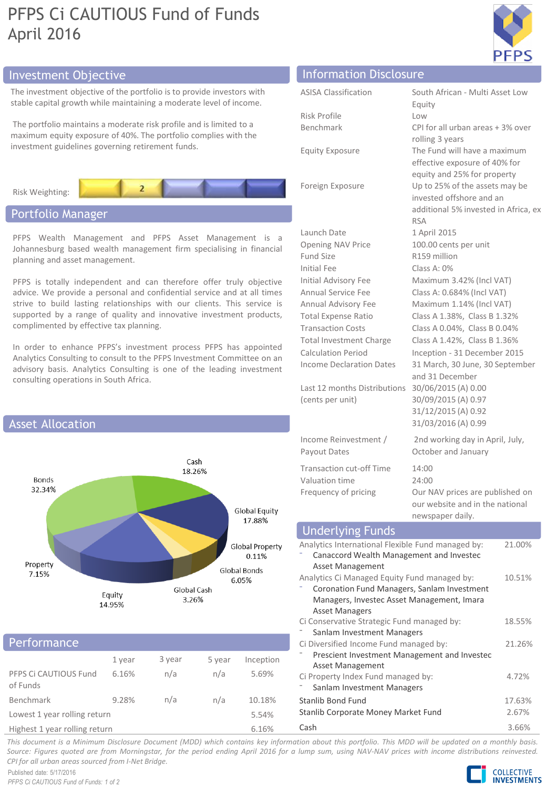# PFPS Ci CAUTIOUS Fund of Funds April 2016



The investment objective of the portfolio is to provide investors with stable capital growth while maintaining a moderate level of income.

The portfolio maintains a moderate risk profile and is limited to a maximum equity exposure of 40%. The portfolio complies with the investment guidelines governing retirement funds.



# Portfolio Manager

PFPS Wealth Management and PFPS Asset Management is a Johannesburg based wealth management firm specialising in financial planning and asset management.

PFPS is totally independent and can therefore offer truly objective advice. We provide a personal and confidential service and at all times strive to build lasting relationships with our clients. This service is supported by a range of quality and innovative investment products, complimented by effective tax planning.

In order to enhance PFPS's investment process PFPS has appointed Analytics Consulting to consult to the PFPS Investment Committee on an advisory basis. Analytics Consulting is one of the leading investment consulting operations in South Africa.



## Performance

|                                            | 1 year | 3 year | 5 year | Inception |  |
|--------------------------------------------|--------|--------|--------|-----------|--|
| PFPS Ci CAUTIOUS Fund<br>of Funds          | 6.16%  | n/a    | n/a    | 5.69%     |  |
| Benchmark                                  | 9.28%  | n/a    | n/a    | 10.18%    |  |
| Lowest 1 year rolling return               |        |        |        | 5.54%     |  |
| that who would be a working the worker and |        |        |        | C A C Q   |  |

Highest 1 year rolling return 6.16%

# Investment Objective Information Disclosure

ASISA Classification South African - Multi Asset Low

| Risk Profile           | Low              |
|------------------------|------------------|
| Benchmark              | CPI <sup>-</sup> |
|                        | rolli            |
| <b>Equity Exposure</b> | The              |

Income Reinvestment / Payout Dates

Transaction cut-off Time 14:00 Valuation time 24:00

|                                 | Equity                               |
|---------------------------------|--------------------------------------|
| Risk Profile                    | Low                                  |
| Benchmark                       | CPI for all urban areas + 3% over    |
|                                 | rolling 3 years                      |
| <b>Equity Exposure</b>          | The Fund will have a maximum         |
|                                 | effective exposure of 40% for        |
|                                 | equity and 25% for property          |
| Foreign Exposure                | Up to 25% of the assets may be       |
|                                 | invested offshore and an             |
|                                 | additional 5% invested in Africa, ex |
|                                 | <b>RSA</b>                           |
| Launch Date                     | 1 April 2015                         |
| <b>Opening NAV Price</b>        | 100.00 cents per unit                |
| <b>Fund Size</b>                | R159 million                         |
| <b>Initial Fee</b>              | Class A: 0%                          |
| <b>Initial Advisory Fee</b>     | Maximum 3.42% (Incl VAT)             |
| <b>Annual Service Fee</b>       | Class A: 0.684% (Incl VAT)           |
| Annual Advisory Fee             | Maximum 1.14% (Incl VAT)             |
| <b>Total Expense Ratio</b>      | Class A 1.38%, Class B 1.32%         |
| <b>Transaction Costs</b>        | Class A 0.04%, Class B 0.04%         |
| <b>Total Investment Charge</b>  | Class A 1.42%, Class B 1.36%         |
| Calculation Period              | Inception - 31 December 2015         |
| <b>Income Declaration Dates</b> | 31 March, 30 June, 30 September      |
|                                 | and 31 December                      |
| Last 12 months Distributions    | 30/06/2015 (A) 0.00                  |
| (cents per unit)                | 30/09/2015 (A) 0.97                  |
|                                 | 31/12/2015 (A) 0.92                  |
|                                 | 31/03/2016 (A) 0.99                  |
| Income Reinvestment /           | 2nd working day in April, July,      |
| Payout Dates                    | October and January                  |

Frequency of pricing Our NAV prices are published on our website and in the national newspaper daily.

| <b>Underlying Funds</b>                           |        |
|---------------------------------------------------|--------|
| Analytics International Flexible Fund managed by: | 21.00% |
| Canaccord Wealth Management and Invested          |        |
| Asset Management                                  |        |
| Analytics Ci Managed Equity Fund managed by:      | 10.51% |
| Coronation Fund Managers, Sanlam Investment       |        |
| Managers, Investec Asset Management, Imara        |        |
| <b>Asset Managers</b>                             |        |
| Ci Conservative Strategic Fund managed by:        | 18.55% |
| Sanlam Investment Managers                        |        |
| Ci Diversified Income Fund managed by:            | 21.26% |
| Prescient Investment Management and Investec      |        |
| Asset Management                                  |        |
| Ci Property Index Fund managed by:                | 4.72%  |
| Sanlam Investment Managers                        |        |
| Stanlib Bond Fund                                 | 17.63% |
| Stanlib Corporate Money Market Fund               | 2.67%  |
|                                                   |        |

Cash 3.66%

This document is a Minimum Disclosure Document (MDD) which contains key information about this portfolio. This MDD will be updated on a monthly basis. Source: Figures quoted are from Morningstar, for the period ending April 2016 for a lump sum, using NAV-NAV prices with income distributions reinvested. *CPI for all urban areas sourced from I-Net Bridge.*

Published date: 5/17/2016 *PFPS Ci CAUTIOUS Fund of Funds: 1 of 2*